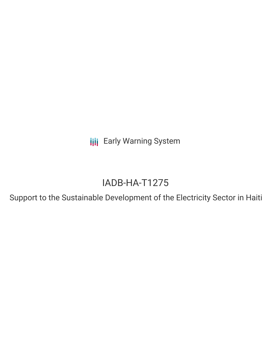**III** Early Warning System

# IADB-HA-T1275

Support to the Sustainable Development of the Electricity Sector in Haiti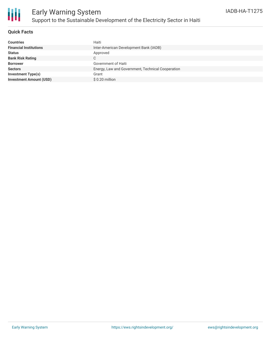

## **Quick Facts**

| <b>Countries</b>               | Haiti                                             |
|--------------------------------|---------------------------------------------------|
| <b>Financial Institutions</b>  | Inter-American Development Bank (IADB)            |
| <b>Status</b>                  | Approved                                          |
| <b>Bank Risk Rating</b>        | C                                                 |
| <b>Borrower</b>                | Government of Haiti                               |
| <b>Sectors</b>                 | Energy, Law and Government, Technical Cooperation |
| <b>Investment Type(s)</b>      | Grant                                             |
| <b>Investment Amount (USD)</b> | $$0.20$ million                                   |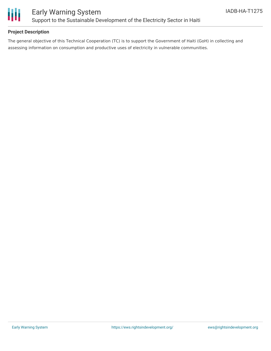

## **Project Description**

The general objective of this Technical Cooperation (TC) is to support the Government of Haiti (GoH) in collecting and assessing information on consumption and productive uses of electricity in vulnerable communities.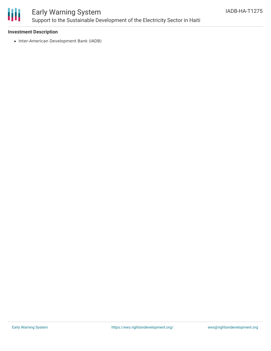

# Early Warning System Support to the Sustainable Development of the Electricity Sector in Haiti

### **Investment Description**

• Inter-American Development Bank (IADB)